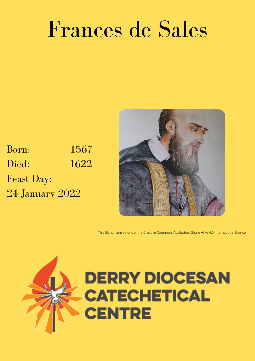## Frances de Sales

Born: 1567 Died: 1622 Feast Day: 24 January 2022



This file is licensed under the [Creative Commons](https://en.wikipedia.org/wiki/en:Creative_Commons) [Attribution-Share Alike 4.0 International](https://creativecommons.org/licenses/by-sa/4.0/deed.en) licence

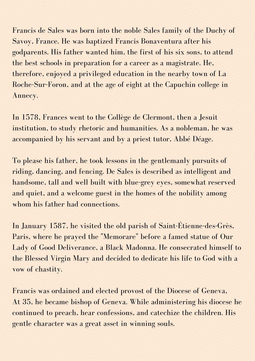Francis de Sales was born into the noble Sales family of the Duchy of Savoy, France. He was baptized Francis [Bonaventura](https://en.wikipedia.org/wiki/Duchy_of_Savoy) after his godparents. His father wanted him, the first of his six sons, to attend the best schools in preparation for a career as a [magistrate.](https://en.wikipedia.org/wiki/Magistrate) He, therefore, enjoyed a privileged education in the nearby town of La [Roche-Sur-Foron,](https://en.wikipedia.org/wiki/La_Roche-sur-Foron) and at the age of eight at the Capuchin college in [Annecy](https://en.wikipedia.org/wiki/Annecy).

In 1578, Frances went to the Collège de [Clermont,](https://en.wikipedia.org/wiki/Coll%C3%A8ge_de_Clermont) then a [Jesuit](https://en.wikipedia.org/wiki/Jesuit) institution, to study [rhetoric](https://en.wikipedia.org/wiki/Rhetoric) and humanities. As a nobleman, he was accompanied by his servant and by a priest tutor, Abbé Déage.

To please his father, he took lessons in the gentlemanly pursuits of riding, dancing, and fencing. De Sales is described as intelligent and handsome, tall and well built with blue-grey eyes, somewhat reserved and quiet, and a welcome guest in the homes of the nobility among whom his father had connections.

In January 1587, he visited the old parish of [Saint-Étienne-des-Grès,](https://en.wikipedia.org/wiki/Saint-%C3%89tienne-des-Gr%C3%A8s,_Paris) Paris, where he prayed the ["Memorare](https://en.wikipedia.org/wiki/Memorare)" before a famed statue of Our Lady of Good Deliverance, a Black [Madonna.](https://en.wikipedia.org/wiki/Black_Madonna) He consecrated himself to the [Blessed](https://en.wikipedia.org/wiki/Blessed_Virgin_Mary) Virgin Mary and decided to dedicate his life to [God](https://en.wikipedia.org/wiki/God) with a vow of chastity.

Francis was ordained and elected provost of the Diocese of Geneva, At 35, he became bishop of Geneva. While administering his diocese he continued to preach, hear confessions, and catechize the children. His gentle character was a great asset in winning souls.